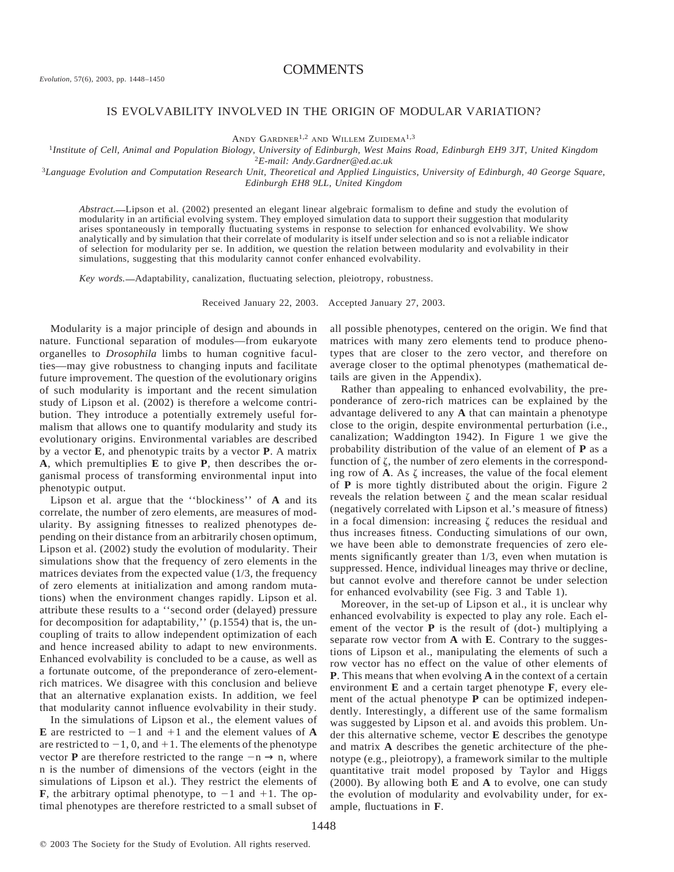# COMMENTS

## IS EVOLVABILITY INVOLVED IN THE ORIGIN OF MODULAR VARIATION?

ANDY GARDNER<sup>1,2</sup> AND WILLEM ZUIDEMA<sup>1,3</sup>

<sup>1</sup>*Institute of Cell, Animal and Population Biology, University of Edinburgh, West Mains Road, Edinburgh EH9 3JT, United Kingdom* <sup>2</sup>*E-mail: Andy.Gardner@ed.ac.uk*

<sup>3</sup>*Language Evolution and Computation Research Unit, Theoretical and Applied Linguistics, University of Edinburgh, 40 George Square, Edinburgh EH8 9LL, United Kingdom*

*Abstract.* Lipson et al. (2002) presented an elegant linear algebraic formalism to define and study the evolution of modularity in an artificial evolving system. They employed simulation data to support their suggestion that modularity arises spontaneously in temporally fluctuating systems in response to selection for enhanced evolvability. We show analytically and by simulation that their correlate of modularity is itself under selection and so is not a reliable indicator of selection for modularity per se. In addition, we question the relation between modularity and evolvability in their simulations, suggesting that this modularity cannot confer enhanced evolvability.

*Key words.* Adaptability, canalization, fluctuating selection, pleiotropy, robustness.

Received January 22, 2003. Accepted January 27, 2003.

Modularity is a major principle of design and abounds in nature. Functional separation of modules—from eukaryote organelles to *Drosophila* limbs to human cognitive faculties—may give robustness to changing inputs and facilitate future improvement. The question of the evolutionary origins of such modularity is important and the recent simulation study of Lipson et al. (2002) is therefore a welcome contribution. They introduce a potentially extremely useful formalism that allows one to quantify modularity and study its evolutionary origins. Environmental variables are described by a vector **E**, and phenotypic traits by a vector **P**. A matrix **A**, which premultiplies **E** to give **P**, then describes the organismal process of transforming environmental input into phenotypic output.

Lipson et al. argue that the ''blockiness'' of **A** and its correlate, the number of zero elements, are measures of modularity. By assigning fitnesses to realized phenotypes depending on their distance from an arbitrarily chosen optimum, Lipson et al. (2002) study the evolution of modularity. Their simulations show that the frequency of zero elements in the matrices deviates from the expected value (1/3, the frequency of zero elements at initialization and among random mutations) when the environment changes rapidly. Lipson et al. attribute these results to a ''second order (delayed) pressure for decomposition for adaptability,'' (p.1554) that is, the uncoupling of traits to allow independent optimization of each and hence increased ability to adapt to new environments. Enhanced evolvability is concluded to be a cause, as well as a fortunate outcome, of the preponderance of zero-elementrich matrices. We disagree with this conclusion and believe that an alternative explanation exists. In addition, we feel that modularity cannot influence evolvability in their study.

In the simulations of Lipson et al., the element values of **E** are restricted to  $-1$  and  $+1$  and the element values of **A** are restricted to  $-1$ , 0, and  $+1$ . The elements of the phenotype vector **P** are therefore restricted to the range  $-n \rightarrow n$ , where n is the number of dimensions of the vectors (eight in the simulations of Lipson et al.). They restrict the elements of **F**, the arbitrary optimal phenotype, to  $-1$  and  $+1$ . The optimal phenotypes are therefore restricted to a small subset of

all possible phenotypes, centered on the origin. We find that matrices with many zero elements tend to produce phenotypes that are closer to the zero vector, and therefore on average closer to the optimal phenotypes (mathematical details are given in the Appendix).

Rather than appealing to enhanced evolvability, the preponderance of zero-rich matrices can be explained by the advantage delivered to any **A** that can maintain a phenotype close to the origin, despite environmental perturbation (i.e., canalization; Waddington 1942). In Figure 1 we give the probability distribution of the value of an element of **P** as a function of  $\zeta$ , the number of zero elements in the corresponding row of  $\bf{A}$ . As  $\zeta$  increases, the value of the focal element of **P** is more tightly distributed about the origin. Figure 2 reveals the relation between  $\zeta$  and the mean scalar residual (negatively correlated with Lipson et al.'s measure of fitness) in a focal dimension: increasing  $\zeta$  reduces the residual and thus increases fitness. Conducting simulations of our own, we have been able to demonstrate frequencies of zero elements significantly greater than 1/3, even when mutation is suppressed. Hence, individual lineages may thrive or decline, but cannot evolve and therefore cannot be under selection for enhanced evolvability (see Fig. 3 and Table 1).

Moreover, in the set-up of Lipson et al., it is unclear why enhanced evolvability is expected to play any role. Each element of the vector **P** is the result of (dot-) multiplying a separate row vector from **A** with **E**. Contrary to the suggestions of Lipson et al., manipulating the elements of such a row vector has no effect on the value of other elements of **P**. This means that when evolving **A** in the context of a certain environment **E** and a certain target phenotype **F**, every element of the actual phenotype **P** can be optimized independently. Interestingly, a different use of the same formalism was suggested by Lipson et al. and avoids this problem. Under this alternative scheme, vector **E** describes the genotype and matrix **A** describes the genetic architecture of the phenotype (e.g., pleiotropy), a framework similar to the multiple quantitative trait model proposed by Taylor and Higgs (2000). By allowing both **E** and **A** to evolve, one can study the evolution of modularity and evolvability under, for example, fluctuations in **F**.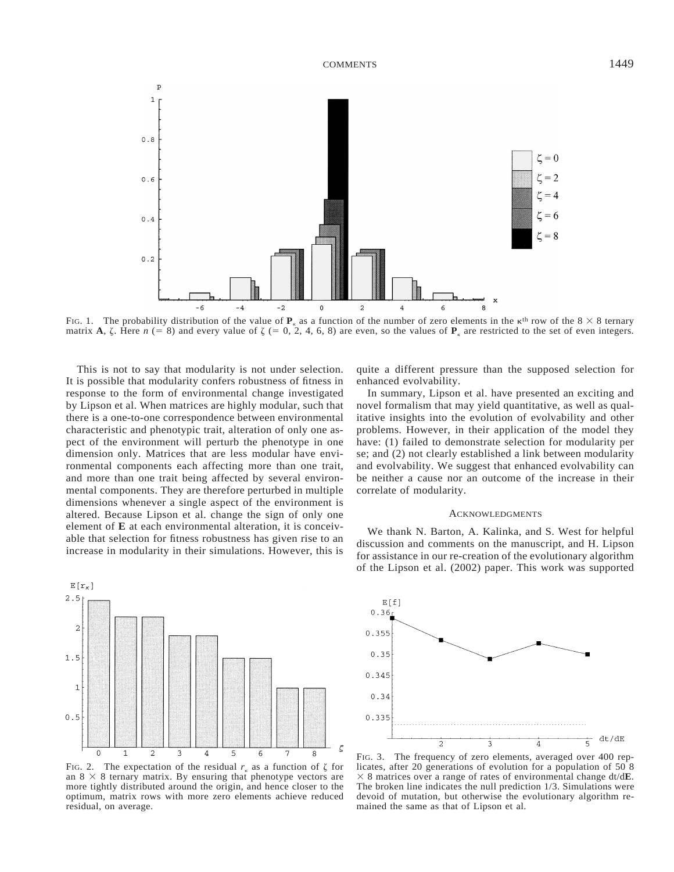

FIG. 1. The probability distribution of the value of  $P_k$  as a function of the number of zero elements in the  $\kappa^{th}$  row of the 8  $\times$  8 ternary matrix **A**,  $\zeta$ . Here  $n (= 8)$  and every value of  $\zeta (= 0, 2, 4, 6, 8)$  are even, so the values of  $P_k$  are restricted to the set of even integers.

This is not to say that modularity is not under selection. It is possible that modularity confers robustness of fitness in response to the form of environmental change investigated by Lipson et al. When matrices are highly modular, such that there is a one-to-one correspondence between environmental characteristic and phenotypic trait, alteration of only one aspect of the environment will perturb the phenotype in one dimension only. Matrices that are less modular have environmental components each affecting more than one trait, and more than one trait being affected by several environmental components. They are therefore perturbed in multiple dimensions whenever a single aspect of the environment is altered. Because Lipson et al. change the sign of only one element of **E** at each environmental alteration, it is conceivable that selection for fitness robustness has given rise to an increase in modularity in their simulations. However, this is



FIG. 2. The expectation of the residual  $r_k$  as a function of  $\zeta$  for an  $8 \times 8$  ternary matrix. By ensuring that phenotype vectors are more tightly distributed around the origin, and hence closer to the optimum, matrix rows with more zero elements achieve reduced residual, on average.

quite a different pressure than the supposed selection for enhanced evolvability.

In summary, Lipson et al. have presented an exciting and novel formalism that may yield quantitative, as well as qualitative insights into the evolution of evolvability and other problems. However, in their application of the model they have: (1) failed to demonstrate selection for modularity per se; and (2) not clearly established a link between modularity and evolvability. We suggest that enhanced evolvability can be neither a cause nor an outcome of the increase in their correlate of modularity.

### ACKNOWLEDGMENTS

We thank N. Barton, A. Kalinka, and S. West for helpful discussion and comments on the manuscript, and H. Lipson for assistance in our re-creation of the evolutionary algorithm of the Lipson et al. (2002) paper. This work was supported



FIG. 3. The frequency of zero elements, averaged over 400 replicates, after 20 generations of evolution for a population of 50 8  $\times$  8 matrices over a range of rates of environmental change dt/d**E**. The broken line indicates the null prediction 1/3. Simulations were devoid of mutation, but otherwise the evolutionary algorithm remained the same as that of Lipson et al.